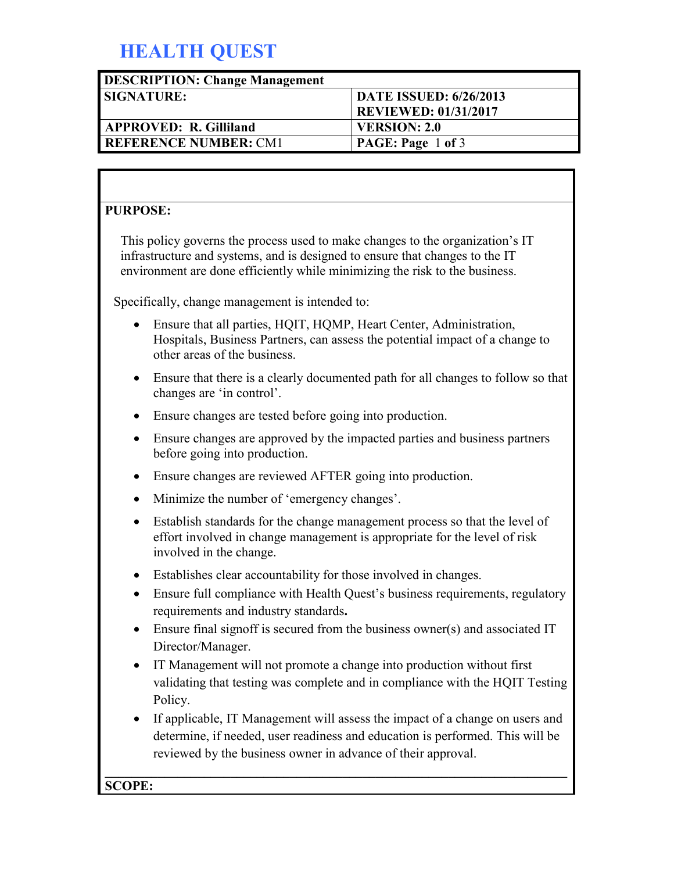# **HEALTH QUEST**

| <b>DESCRIPTION: Change Management</b> |                               |
|---------------------------------------|-------------------------------|
| <b>SIGNATURE:</b>                     | <b>DATE ISSUED: 6/26/2013</b> |
|                                       | <b>REVIEWED: 01/31/2017</b>   |
| <b>APPROVED: R. Gilliland</b>         | <b>VERSION: 2.0</b>           |
| <b>REFERENCE NUMBER: CM1</b>          | PAGE: Page 1 of 3             |

#### **PURPOSE:**

This policy governs the process used to make changes to the organization's IT infrastructure and systems, and is designed to ensure that changes to the IT environment are done efficiently while minimizing the risk to the business.

Specifically, change management is intended to:

- Ensure that all parties, HOIT, HOMP, Heart Center, Administration, Hospitals, Business Partners, can assess the potential impact of a change to other areas of the business.
- Ensure that there is a clearly documented path for all changes to follow so that changes are 'in control'.
- Ensure changes are tested before going into production.
- Ensure changes are approved by the impacted parties and business partners before going into production.
- Ensure changes are reviewed AFTER going into production.
- Minimize the number of 'emergency changes'.
- Establish standards for the change management process so that the level of effort involved in change management is appropriate for the level of risk involved in the change.
- Establishes clear accountability for those involved in changes.
- Ensure full compliance with Health Quest's business requirements, regulatory requirements and industry standards**.**
- Ensure final signoff is secured from the business owner(s) and associated IT Director/Manager.
- IT Management will not promote a change into production without first validating that testing was complete and in compliance with the HQIT Testing Policy.
- If applicable, IT Management will assess the impact of a change on users and determine, if needed, user readiness and education is performed. This will be reviewed by the business owner in advance of their approval.

#### **\_\_\_\_\_\_\_\_\_\_\_\_\_\_\_\_\_\_\_\_\_\_\_\_\_\_\_\_\_\_\_\_\_\_\_\_\_\_\_\_\_\_\_\_\_\_\_\_\_\_\_\_\_\_\_\_\_\_\_\_\_\_\_\_\_\_\_\_\_\_ SCOPE:**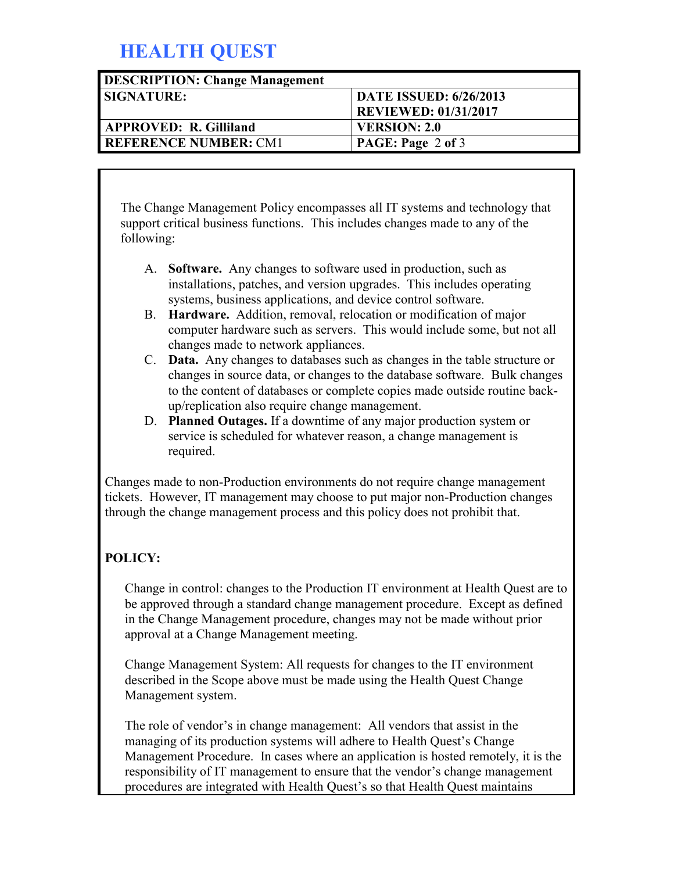### **HEALTH QUEST**

| <b>DESCRIPTION: Change Management</b> |                               |
|---------------------------------------|-------------------------------|
| <b>SIGNATURE:</b>                     | <b>DATE ISSUED: 6/26/2013</b> |
|                                       | <b>REVIEWED: 01/31/2017</b>   |
| <b>APPROVED: R. Gilliland</b>         | <b>VERSION: 2.0</b>           |
| <b>I REFERENCE NUMBER: CM1</b>        | <b>PAGE: Page 2 of 3</b>      |

The Change Management Policy encompasses all IT systems and technology that support critical business functions. This includes changes made to any of the following:

- A. **Software.** Any changes to software used in production, such as installations, patches, and version upgrades. This includes operating systems, business applications, and device control software.
- B. **Hardware.** Addition, removal, relocation or modification of major computer hardware such as servers. This would include some, but not all changes made to network appliances.
- C. **Data.** Any changes to databases such as changes in the table structure or changes in source data, or changes to the database software. Bulk changes to the content of databases or complete copies made outside routine backup/replication also require change management.
- D. **Planned Outages.** If a downtime of any major production system or service is scheduled for whatever reason, a change management is required.

Changes made to non-Production environments do not require change management tickets. However, IT management may choose to put major non-Production changes through the change management process and this policy does not prohibit that.

#### **POLICY:**

Change in control: changes to the Production IT environment at Health Quest are to be approved through a standard change management procedure. Except as defined in the Change Management procedure, changes may not be made without prior approval at a Change Management meeting.

Change Management System: All requests for changes to the IT environment described in the Scope above must be made using the Health Quest Change Management system.

The role of vendor's in change management: All vendors that assist in the managing of its production systems will adhere to Health Quest's Change Management Procedure. In cases where an application is hosted remotely, it is the responsibility of IT management to ensure that the vendor's change management procedures are integrated with Health Quest's so that Health Quest maintains